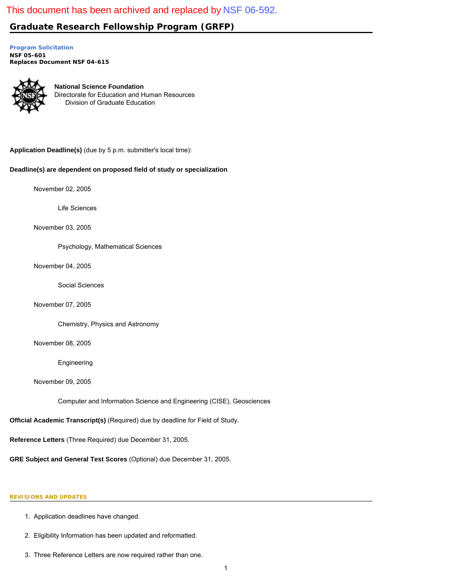# <span id="page-0-0"></span>This document has been archived and replaced by [NSF 06-592.](http://www.nsf.gov/publications/pub_summ.jsp?ods_key=nsf06592)

# **Graduate Research Fellowship Program (GRFP)**

**[Program Solicitation](#page-2-0) NSF 05-601**  *Replaces Document* **NSF 04-615** 



**National Science Foundation** Directorate for Education and Human Resources Division of Graduate Education

**Application Deadline(s)** (due by 5 p.m. submitter's local time):

# **Deadline(s) are dependent on proposed field of study or specialization**

November 02, 2005

Life Sciences

November 03, 2005

Psychology, Mathematical Sciences

November 04, 2005

Social Sciences

November 07, 2005

Chemistry, Physics and Astronomy

November 08, 2005

Engineering

November 09, 2005

Computer and Information Science and Engineering (CISE), Geosciences

**Official Academic Transcript(s)** (Required) due by deadline for Field of Study.

**Reference Letters** (Three Required) due December 31, 2005.

**GRE Subject and General Test Scores** (Optional) due December 31, 2005.

# **REVISIONS AND UPDATES**

- 1. Application deadlines have changed.
- 2. Eligibility Information has been updated and reformatted.
- 3. Three Reference Letters are now required rather than one.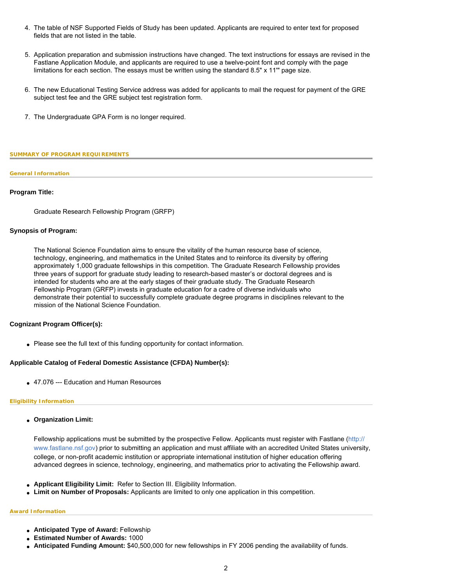- 4. The table of NSF Supported Fields of Study has been updated. Applicants are required to enter text for proposed fields that are not listed in the table.
- 5. Application preparation and submission instructions have changed. The text instructions for essays are revised in the Fastlane Application Module, and applicants are required to use a twelve-point font and comply with the page limitations for each section. The essays must be written using the standard 8.5" x 11'" page size.
- 6. The new Educational Testing Service address was added for applicants to mail the request for payment of the GRE subject test fee and the GRE subject test registration form.
- 7. The Undergraduate GPA Form is no longer required.

### <span id="page-1-0"></span>**SUMMARY OF PROGRAM REQUIREMENTS**

### **General Information**

## **Program Title:**

Graduate Research Fellowship Program (GRFP)

## **Synopsis of Program:**

The National Science Foundation aims to ensure the vitality of the human resource base of science, technology, engineering, and mathematics in the United States and to reinforce its diversity by offering approximately 1,000 graduate fellowships in this competition. The Graduate Research Fellowship provides three years of support for graduate study leading to research-based master's or doctoral degrees and is intended for students who are at the early stages of their graduate study. The Graduate Research Fellowship Program (GRFP) invests in graduate education for a cadre of diverse individuals who demonstrate their potential to successfully complete graduate degree programs in disciplines relevant to the mission of the National Science Foundation.

# **Cognizant Program Officer(s):**

• Please see the full text of this funding opportunity for contact information.

# **Applicable Catalog of Federal Domestic Assistance (CFDA) Number(s):**

• 47.076 --- Education and Human Resources

## **Eligibility Information**

● **Organization Limit:** 

Fellowship applications must be submitted by the prospective Fellow. Applicants must register with Fastlane ([http://](http://www.fastlane.nsf.gov/) [www.fastlane.nsf.gov](http://www.fastlane.nsf.gov/)) prior to submitting an application and must affiliate with an accredited United States university, college, or non-profit academic institution or appropriate international institution of higher education offering advanced degrees in science, technology, engineering, and mathematics prior to activating the Fellowship award.

- **Applicant Eligibility Limit:** Refer to Section III. Eligibility Information.
- **Limit on Number of Proposals:** Applicants are limited to only one application in this competition.

#### **Award Information**

- **Anticipated Type of Award:** Fellowship
- **Estimated Number of Awards:** 1000
- **Anticipated Funding Amount:** \$40,500,000 for new fellowships in FY 2006 pending the availability of funds.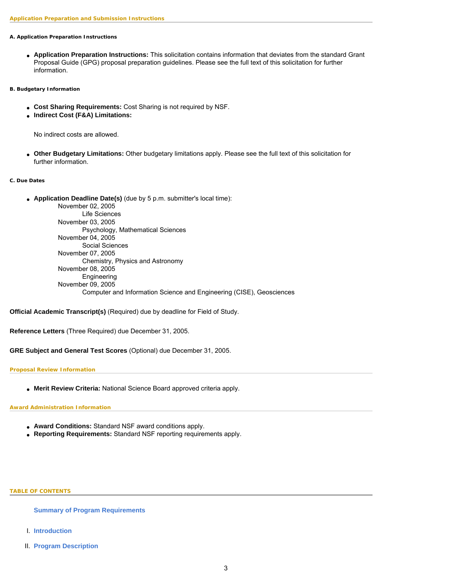### **A. Application Preparation Instructions**

● **Application Preparation Instructions:** This solicitation contains information that deviates from the standard Grant Proposal Guide (GPG) proposal preparation guidelines. Please see the full text of this solicitation for further information.

## **B. Budgetary Information**

- **Cost Sharing Requirements:** Cost Sharing is not required by NSF.
- **Indirect Cost (F&A) Limitations:**

No indirect costs are allowed.

● **Other Budgetary Limitations:** Other budgetary limitations apply. Please see the full text of this solicitation for further information.

#### **C. Due Dates**

● **Application Deadline Date(s)** (due by 5 p.m. submitter's local time):

November 02, 2005 Life Sciences November 03, 2005 Psychology, Mathematical Sciences November 04, 2005 Social Sciences November 07, 2005 Chemistry, Physics and Astronomy November 08, 2005 Engineering November 09, 2005 Computer and Information Science and Engineering (CISE), Geosciences

**Official Academic Transcript(s)** (Required) due by deadline for Field of Study.

**Reference Letters** (Three Required) due December 31, 2005.

**GRE Subject and General Test Scores** (Optional) due December 31, 2005.

## **Proposal Review Information**

● **Merit Review Criteria:** National Science Board approved criteria apply.

## **Award Administration Information**

- **Award Conditions:** Standard NSF award conditions apply.
- <span id="page-2-0"></span>● **Reporting Requirements:** Standard NSF reporting requirements apply.

### **TABLE OF CONTENTS**

**[Summary of Program Requirements](#page-1-0)**

- I. **[Introduction](#page-3-0)**
- II. **[Program Description](#page-3-1)**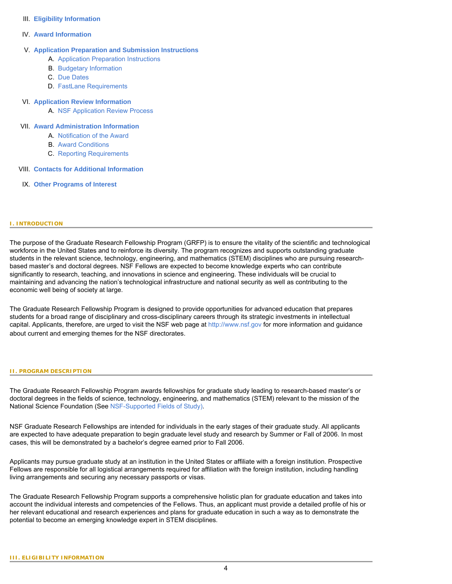## III. **[Eligibility Information](#page-3-2)**

## IV. **[Award Information](#page-5-0)**

# V. **[Application Preparation and Submission Instructions](#page-5-1)**

- A. [Application Preparation Instructions](#page-5-1)
- B. [Budgetary Information](#page-6-0)
- C. [Due Dates](#page-7-0)
- D. [FastLane Requirements](#page-7-1)

## VI. **[Application Review Information](#page-7-2)**

A. [NSF Application Review Process](#page-7-3)

## VII. **[Award Administration Information](#page-0-0)**

- A. [Notification of the Award](#page-8-0)
- B. [Award Conditions](#page-8-1)
- C. [Reporting Requirements](#page-9-0)
- VIII. **[Contacts for Additional Information](#page-9-1)**
- IX. **[Other Programs of Interest](#page-9-2)**

## <span id="page-3-0"></span>**I. INTRODUCTION**

The purpose of the Graduate Research Fellowship Program (GRFP) is to ensure the vitality of the scientific and technological workforce in the United States and to reinforce its diversity. The program recognizes and supports outstanding graduate students in the relevant science, technology, engineering, and mathematics (STEM) disciplines who are pursuing researchbased master's and doctoral degrees. NSF Fellows are expected to become knowledge experts who can contribute significantly to research, teaching, and innovations in science and engineering. These individuals will be crucial to maintaining and advancing the nation's technological infrastructure and national security as well as contributing to the economic well being of society at large.

The Graduate Research Fellowship Program is designed to provide opportunities for advanced education that prepares students for a broad range of disciplinary and cross-disciplinary careers through its strategic investments in intellectual capital. Applicants, therefore, are urged to visit the NSF web page at [http://www.nsf.gov](http://www.nsf.gov/) for more information and guidance about current and emerging themes for the NSF directorates.

#### <span id="page-3-1"></span>**II. PROGRAM DESCRIPTION**

The Graduate Research Fellowship Program awards fellowships for graduate study leading to research-based master's or doctoral degrees in the fields of science, technology, engineering, and mathematics (STEM) relevant to the mission of the National Science Foundation (See [NSF-Supported Fields of Study\)](#page-11-0).

NSF Graduate Research Fellowships are intended for individuals in the early stages of their graduate study. All applicants are expected to have adequate preparation to begin graduate level study and research by Summer or Fall of 2006. In most cases, this will be demonstrated by a bachelor's degree earned prior to Fall 2006.

Applicants may pursue graduate study at an institution in the United States or affiliate with a foreign institution. Prospective Fellows are responsible for all logistical arrangements required for affiliation with the foreign institution, including handling living arrangements and securing any necessary passports or visas.

<span id="page-3-2"></span>The Graduate Research Fellowship Program supports a comprehensive holistic plan for graduate education and takes into account the individual interests and competencies of the Fellows. Thus, an applicant must provide a detailed profile of his or her relevant educational and research experiences and plans for graduate education in such a way as to demonstrate the potential to become an emerging knowledge expert in STEM disciplines.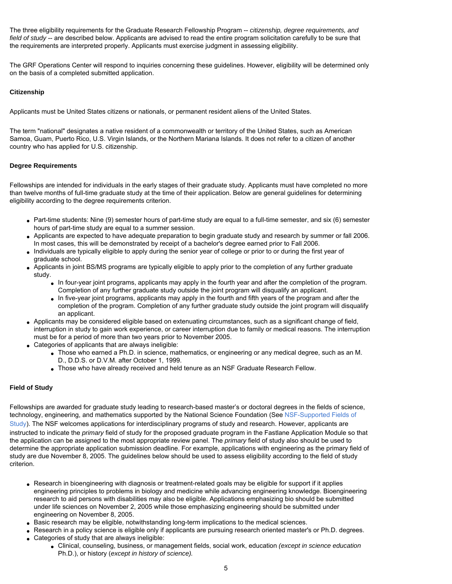The three eligibility requirements for the Graduate Research Fellowship Program -- *citizenship, degree requirements, and field of study* -- are described below. Applicants are advised to read the entire program solicitation carefully to be sure that the requirements are interpreted properly. Applicants must exercise judgment in assessing eligibility.

The GRF Operations Center will respond to inquiries concerning these guidelines. However, eligibility will be determined only on the basis of a completed submitted application.

# **Citizenship**

Applicants must be United States citizens or nationals, or permanent resident aliens of the United States.

The term "national" designates a native resident of a commonwealth or territory of the United States, such as American Samoa, Guam, Puerto Rico, U.S. Virgin Islands, or the Northern Mariana Islands. It does not refer to a citizen of another country who has applied for U.S. citizenship.

# **Degree Requirements**

Fellowships are intended for individuals in the early stages of their graduate study. Applicants must have completed no more than twelve months of full-time graduate study at the time of their application. Below are general guidelines for determining eligibility according to the degree requirements criterion.

- Part-time students: Nine (9) semester hours of part-time study are equal to a full-time semester, and six (6) semester hours of part-time study are equal to a summer session.
- Applicants are expected to have adequate preparation to begin graduate study and research by summer or fall 2006. In most cases, this will be demonstrated by receipt of a bachelor's degree earned prior to Fall 2006.
- Individuals are typically eligible to apply during the senior year of college or prior to or during the first year of graduate school.
- Applicants in joint BS/MS programs are typically eligible to apply prior to the completion of any further graduate study.
	- In four-year joint programs, applicants may apply in the fourth year and after the completion of the program. Completion of any further graduate study outside the joint program will disqualify an applicant.
	- In five-year joint programs, applicants may apply in the fourth and fifth years of the program and after the completion of the program. Completion of any further graduate study outside the joint program will disqualify an applicant.
- Applicants may be considered eligible based on extenuating circumstances, such as a significant change of field, interruption in study to gain work experience, or career interruption due to family or medical reasons. The interruption must be for a period of more than two years prior to November 2005.
- Categories of applicants that are always ineligible:
	- Those who earned a Ph.D. in science, mathematics, or engineering or any medical degree, such as an M. D., D.D.S. or D.V.M. after October 1, 1999.
	- Those who have already received and held tenure as an NSF Graduate Research Fellow.

# **Field of Study**

Fellowships are awarded for graduate study leading to research-based master's or doctoral degrees in the fields of science, technology, engineering, and mathematics supported by the National Science Foundation (See [NSF-Supported Fields of](#page-11-0)  [Study\)](#page-11-0). The NSF welcomes applications for interdisciplinary programs of study and research. However, applicants are instructed to indicate the *primary* field of study for the proposed graduate program in the Fastlane Application Module so that the application can be assigned to the most appropriate review panel. The *primary* field of study also should be used to determine the appropriate application submission deadline. For example, applications with engineering as the primary field of study are due November 8, 2005. The guidelines below should be used to assess eligibility according to the field of study criterion.

- Research in bioengineering with diagnosis or treatment-related goals may be eligible for support if it applies engineering principles to problems in biology and medicine while advancing engineering knowledge. Bioengineering research to aid persons with disabilities may also be eligible. Applications emphasizing bio should be submitted under life sciences on November 2, 2005 while those emphasizing engineering should be submitted under engineering on November 8, 2005.
- Basic research may be eligible, notwithstanding long-term implications to the medical sciences.
- Research in a policy science is eligible only if applicants are pursuing research oriented master's or Ph.D. degrees. • Categories of study that are always ineligible:
	- Clinical, counseling, business, or management fields, social work, education *(except in science education* Ph.D.), or history (*except in history of science).*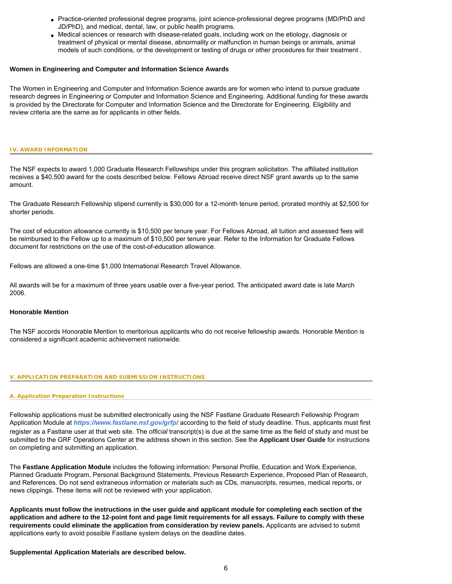- Practice-oriented professional degree programs, joint science-professional degree programs (MD/PhD and JD/PhD), and medical, dental, law, or public health programs.
- Medical sciences or research with disease-related goals, including work on the etiology, diagnosis or treatment of physical or mental disease, abnormality or malfunction in human beings or animals, animal models of such conditions, or the development or testing of drugs or other procedures for their treatment .

## **Women in Engineering and Computer and Information Science Awards**

The Women in Engineering and Computer and Information Science awards are for women who intend to pursue graduate research degrees in Engineering or Computer and Information Science and Engineering. Additional funding for these awards is provided by the Directorate for Computer and Information Science and the Directorate for Engineering. Eligibility and review criteria are the same as for applicants in other fields.

### <span id="page-5-0"></span>**IV. AWARD INFORMATION**

The NSF expects to award 1,000 Graduate Research Fellowships under this program solicitation. The affiliated institution receives a \$40,500 award for the costs described below. Fellows Abroad receive direct NSF grant awards up to the same amount.

The Graduate Research Fellowship stipend currently is \$30,000 for a 12-month tenure period, prorated monthly at \$2,500 for shorter periods.

The cost of education allowance currently is \$10,500 per tenure year. For Fellows Abroad, all tuition and assessed fees will be reimbursed to the Fellow up to a maximum of \$10,500 per tenure year. Refer to the Information for Graduate Fellows document for restrictions on the use of the cost-of-education allowance.

Fellows are allowed a one-time \$1,000 International Research Travel Allowance.

All awards will be for a maximum of three years usable over a five-year period. The anticipated award date is late March 2006.

# **Honorable Mention**

The NSF accords Honorable Mention to meritorious applicants who do not receive fellowship awards. Honorable Mention is considered a significant academic achievement nationwide.

### <span id="page-5-1"></span>**V. APPLICATION PREPARATION AND SUBMISSION INSTRUCTIONS**

## **A. Application Preparation Instructions**

Fellowship applications must be submitted electronically using the NSF Fastlane Graduate Research Fellowship Program Application Module at *<https://www.fastlane.nsf.gov/grfp/>* according to the field of study deadline. Thus, applicants must first register as a Fastlane user at that web site. The *official* transcript(s) is due at the same time as the field of study and must be submitted to the GRF Operations Center at the address shown in this section. See the **Applicant User Guide** for instructions on completing and submitting an application.

The **Fastlane Application Module** includes the following information: Personal Profile, Education and Work Experience, Planned Graduate Program, Personal Background Statements, Previous Research Experience, Proposed Plan of Research, and References. Do not send extraneous information or materials such as CDs, manuscripts, resumes, medical reports, or news clippings. These items will not be reviewed with your application.

**Applicants must follow the instructions in the user guide and applicant module for completing each section of the application and adhere to the 12-point font and page limit requirements for all essays. Failure to comply with these requirements could eliminate the application from consideration by review panels.** Applicants are advised to submit applications early to avoid possible Fastlane system delays on the deadline dates.

## **Supplemental Application Materials are described below.**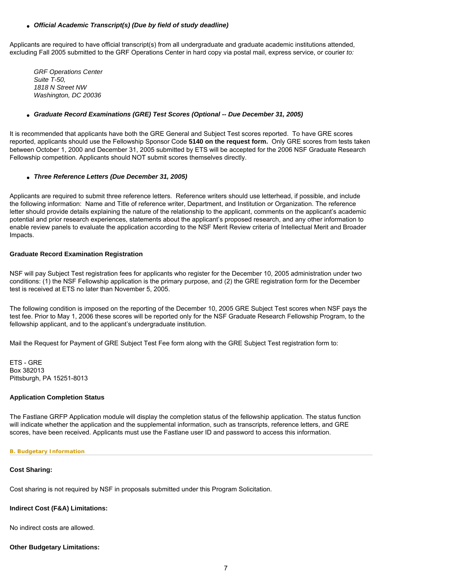## ● *Official Academic Transcript(s) (Due by field of study deadline)*

Applicants are required to have official transcript(s) from all undergraduate and graduate academic institutions attended, excluding Fall 2005 submitted to the GRF Operations Center in hard copy via postal mail, express service, or courier *to:*

*GRF Operations Center Suite T-50, 1818 N Street NW Washington, DC 20036*

# ● *Graduate Record Examinations (GRE) Test Scores (Optional -- Due December 31, 2005)*

It is recommended that applicants have both the GRE General and Subject Test scores reported. To have GRE scores reported, applicants should use the Fellowship Sponsor Code **5140 on the request form.** Only GRE scores from tests taken between October 1, 2000 and December 31, 2005 submitted by ETS will be accepted for the 2006 NSF Graduate Research Fellowship competition. Applicants should NOT submit scores themselves directly.

# ● *Three Reference Letters (Due December 31, 2005)*

Applicants are required to submit three reference letters. Reference writers should use letterhead, if possible, and include the following information: Name and Title of reference writer, Department, and Institution or Organization. The reference letter should provide details explaining the nature of the relationship to the applicant, comments on the applicant's academic potential and prior research experiences, statements about the applicant's proposed research, and any other information to enable review panels to evaluate the application according to the NSF Merit Review criteria of Intellectual Merit and Broader Impacts.

# **Graduate Record Examination Registration**

NSF will pay Subject Test registration fees for applicants who register for the December 10, 2005 administration under two conditions: (1) the NSF Fellowship application is the primary purpose, and (2) the GRE registration form for the December test is received at ETS no later than November 5, 2005.

The following condition is imposed on the reporting of the December 10, 2005 GRE Subject Test scores when NSF pays the test fee. Prior to May 1, 2006 these scores will be reported only for the NSF Graduate Research Fellowship Program, to the fellowship applicant, and to the applicant's undergraduate institution.

Mail the Request for Payment of GRE Subject Test Fee form along with the GRE Subject Test registration form to:

ETS - GRE Box 382013 Pittsburgh, PA 15251-8013

# **Application Completion Status**

The Fastlane GRFP Application module will display the completion status of the fellowship application. The status function will indicate whether the application and the supplemental information, such as transcripts, reference letters, and GRE scores, have been received. Applicants must use the Fastlane user ID and password to access this information.

# <span id="page-6-0"></span>**B. Budgetary Information**

# **Cost Sharing:**

Cost sharing is not required by NSF in proposals submitted under this Program Solicitation.

# **Indirect Cost (F&A) Limitations:**

No indirect costs are allowed.

# **Other Budgetary Limitations:**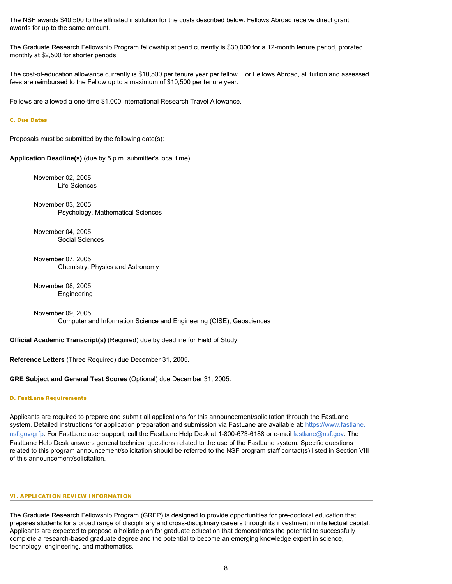The NSF awards \$40,500 to the affiliated institution for the costs described below. Fellows Abroad receive direct grant awards for up to the same amount.

The Graduate Research Fellowship Program fellowship stipend currently is \$30,000 for a 12-month tenure period, prorated monthly at \$2,500 for shorter periods.

The cost-of-education allowance currently is \$10,500 per tenure year per fellow. For Fellows Abroad, all tuition and assessed fees are reimbursed to the Fellow up to a maximum of \$10,500 per tenure year.

Fellows are allowed a one-time \$1,000 International Research Travel Allowance.

### <span id="page-7-0"></span>**C. Due Dates**

Proposals must be submitted by the following date(s):

**Application Deadline(s)** (due by 5 p.m. submitter's local time):

November 02, 2005 Life Sciences

November 03, 2005 Psychology, Mathematical Sciences

November 04, 2005 Social Sciences

November 07, 2005 Chemistry, Physics and Astronomy

November 08, 2005 Engineering

November 09, 2005 Computer and Information Science and Engineering (CISE), Geosciences

**Official Academic Transcript(s)** (Required) due by deadline for Field of Study.

**Reference Letters** (Three Required) due December 31, 2005.

**GRE Subject and General Test Scores** (Optional) due December 31, 2005.

<span id="page-7-1"></span>**D. FastLane Requirements**

Applicants are required to prepare and submit all applications for this announcement/solicitation through the FastLane system. Detailed instructions for application preparation and submission via FastLane are available at: [https://www.fastlane.](https://www.fastlane.nsf.gov/grfp) [nsf.gov/grfp](https://www.fastlane.nsf.gov/grfp). For FastLane user support, call the FastLane Help Desk at 1-800-673-6188 or e-mail [fastlane@nsf.gov.](mailto:fastlane@nsf.gov) The FastLane Help Desk answers general technical questions related to the use of the FastLane system. Specific questions related to this program announcement/solicitation should be referred to the NSF program staff contact(s) listed in Section VIII of this announcement/solicitation.

#### <span id="page-7-3"></span><span id="page-7-2"></span>**VI. APPLICATION REVIEW INFORMATION**

The Graduate Research Fellowship Program (GRFP) is designed to provide opportunities for pre-doctoral education that prepares students for a broad range of disciplinary and cross-disciplinary careers through its investment in intellectual capital. Applicants are expected to propose a holistic plan for graduate education that demonstrates the potential to successfully complete a research-based graduate degree and the potential to become an emerging knowledge expert in science, technology, engineering, and mathematics.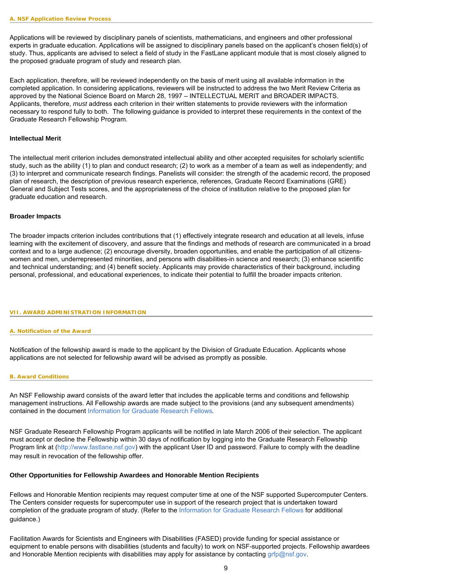Applications will be reviewed by disciplinary panels of scientists, mathematicians, and engineers and other professional experts in graduate education. Applications will be assigned to disciplinary panels based on the applicant's chosen field(s) of study. Thus, applicants are advised to select a field of study in the FastLane applicant module that is most closely aligned to the proposed graduate program of study and research plan.

Each application, therefore, will be reviewed independently on the basis of merit using all available information in the completed application. In considering applications, reviewers will be instructed to address the two Merit Review Criteria as approved by the National Science Board on March 28, 1997 – INTELLECTUAL MERIT and BROADER IMPACTS. Applicants, therefore, *must* address each criterion in their written statements to provide reviewers with the information necessary to respond fully to both. The following guidance is provided to interpret these requirements in the context of the Graduate Research Fellowship Program.

## **Intellectual Merit**

The intellectual merit criterion includes demonstrated intellectual ability and other accepted requisites for scholarly scientific study, such as the ability (1) to plan and conduct research; (2) to work as a member of a team as well as independently; and (3) to interpret and communicate research findings. Panelists will consider: the strength of the academic record, the proposed plan of research, the description of previous research experience, references, Graduate Record Examinations (GRE) General and Subject Tests scores, and the appropriateness of the choice of institution relative to the proposed plan for graduate education and research.

### **Broader Impacts**

The broader impacts criterion includes contributions that (1) effectively integrate research and education at all levels, infuse learning with the excitement of discovery, and assure that the findings and methods of research are communicated in a broad context and to a large audience; (2) encourage diversity, broaden opportunities, and enable the participation of all citizenswomen and men, underrepresented minorities, and persons with disabilities-in science and research; (3) enhance scientific and technical understanding; and (4) benefit society. Applicants may provide characteristics of their background, including personal, professional, and educational experiences, to indicate their potential to fulfill the broader impacts criterion.

#### <span id="page-8-0"></span>**VII. AWARD ADMINISTRATION INFORMATION**

#### **A. Notification of the Award**

Notification of the fellowship award is made to the applicant by the Division of Graduate Education. Applicants whose applications are not selected for fellowship award will be advised as promptly as possible.

#### <span id="page-8-1"></span>**B. Award Conditions**

An NSF Fellowship award consists of the award letter that includes the applicable terms and conditions and fellowship management instructions. All Fellowship awards are made subject to the provisions (and any subsequent amendments) contained in the document [Information for Graduate Research Fellows](http://www.nsf.gov/pubsys/ods/getpub.cfm?nsf0194)*.*

NSF Graduate Research Fellowship Program applicants will be notified in late March 2006 of their selection. The applicant must accept or decline the Fellowship within 30 days of notification by logging into the Graduate Research Fellowship Program link at ([http://www.fastlane.nsf.gov](http://www.fastlane.nsf.gov/)) with the applicant User ID and password. Failure to comply with the deadline may result in revocation of the fellowship offer.

## **Other Opportunities for Fellowship Awardees and Honorable Mention Recipients**

Fellows and Honorable Mention recipients may request computer time at one of the NSF supported Supercomputer Centers. The Centers consider requests for supercomputer use in support of the research project that is undertaken toward completion of the graduate program of study. (Refer to the [Information for Graduate Research Fellows](http://www.nsf.gov/pubsys/ods/getpub.cfm?nsf0194) for additional guidance.)

Facilitation Awards for Scientists and Engineers with Disabilities (FASED) provide funding for special assistance or equipment to enable persons with disabilities (students and faculty) to work on NSF-supported projects. Fellowship awardees and Honorable Mention recipients with disabilities may apply for assistance by contacting [grfp@nsf.gov](mailto:grfp@nsf.gov).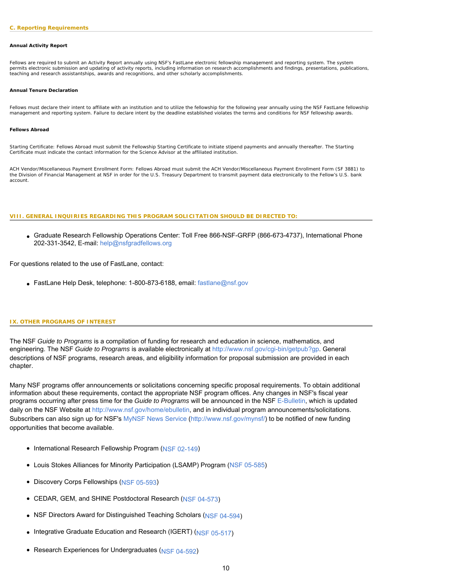#### <span id="page-9-0"></span>**Annual Activity Report**

Fellows are required to submit an Activity Report annually using NSF's FastLane electronic fellowship management and reporting system. The system permits electronic submission and updating of activity reports, including information on research accomplishments and findings, presentations, publications, teaching and research assistantships, awards and recognitions, and other scholarly accomplishments.

#### **Annual Tenure Declaration**

Fellows must declare their intent to affiliate with an institution and to utilize the fellowship for the following year annually using the NSF FastLane fellowship management and reporting system. Failure to declare intent by the deadline established violates the terms and conditions for NSF fellowship awards.

#### **Fellows Abroad**

*Starting Certificate:* Fellows Abroad must submit the Fellowship Starting Certificate to initiate stipend payments and annually thereafter. The Starting Certificate must indicate the contact information for the Science Advisor at the affiliated institution.

*ACH Vendor/Miscellaneous Payment Enrollment Form*: Fellows Abroad must submit the ACH Vendor/Miscellaneous Payment Enrollment Form (SF 3881) to the Division of Financial Management at NSF in order for the U.S. Treasury Department to transmit payment data electronically to the Fellow's U.S. bank account.

#### <span id="page-9-1"></span>**VIII. GENERAL INQUIRIES REGARDING THIS PROGRAM SOLICITATION SHOULD BE DIRECTED TO:**

● Graduate Research Fellowship Operations Center: Toll Free 866-NSF-GRFP (866-673-4737), International Phone 202-331-3542, E-mail: [help@nsfgradfellows.org](mailto:help@nsfgradfellows.org)

For questions related to the use of FastLane, contact:

• FastLane Help Desk, telephone: 1-800-873-6188, email: [fastlane@nsf.gov](mailto:fastlane@nsf.gov)

#### <span id="page-9-2"></span>**IX. OTHER PROGRAMS OF INTEREST**

The NSF *Guide to Programs* is a compilation of funding for research and education in science, mathematics, and engineering. The NSF *Guide to Programs* is available electronically at <http://www.nsf.gov/cgi-bin/getpub?gp>. General descriptions of NSF programs, research areas, and eligibility information for proposal submission are provided in each chapter.

Many NSF programs offer announcements or solicitations concerning specific proposal requirements. To obtain additional information about these requirements, contact the appropriate NSF program offices. Any changes in NSF's fiscal year programs occurring after press time for the *Guide to Programs* will be announced in the NSF [E-Bulletin,](http://www.nsf.gov/home/ebulletin) which is updated daily on the NSF Website at [http://www.nsf.gov/home/ebulletin,](http://www.nsf.gov/home/ebulletin) and in individual program announcements/solicitations. Subscribers can also sign up for NSF's [MyNSF News Service](http://www.nsf.gov/mynsf/) [\(http://www.nsf.gov/mynsf/\)](http://www.nsf.gov/mynsf/) to be notified of new funding opportunities that become available.

- International Research Fellowship Program [\(NSF 02-149\)](http://www.nsf.gov/pubsys/ods/getpub.cfm?nsf02149)
- Louis Stokes Alliances for Minority Participation (LSAMP) Program [\(NSF 05-585\)](http://www.nsf.gov/pubsys/ods/getpub.cfm?nsf05585)
- Discovery Corps Fellowships ([NSF 05-593](http://www.nsf.gov/pubsys/ods/getpub.cfm?nsf05593))
- CEDAR, GEM, and SHINE Postdoctoral Research ([NSF 04-573](http://www.nsf.gov/pubsys/ods/getpub.cfm?nsf04573))
- NSF Directors Award for Distinguished Teaching Scholars ([NSF 04-594](http://www.nsf.gov/pubsys/ods/getpub.cfm?nsf04594))
- Integrative Graduate Education and Research (IGERT) ([NSF 05-517\)](http://www.nsf.gov/pubsys/ods/getpub.cfm?nsf05517)
- Research Experiences for Undergraduates [\(NSF 04-592](http://www.nsf.gov/pubsys/ods/getpub.cfm?nsf04592))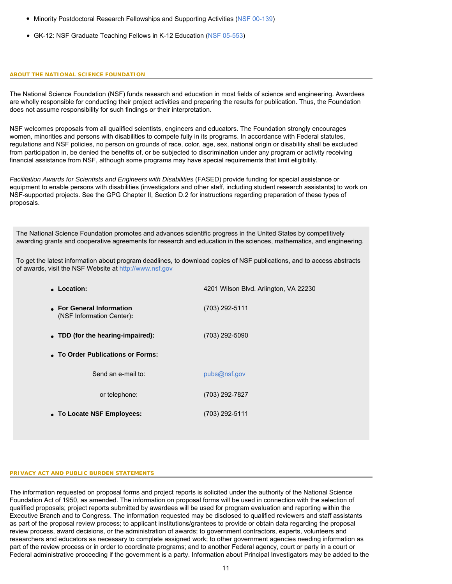- $\bullet~$  Minority Postdoctoral Research Fellowships and Supporting Activities ([NSF 00-139](http://www.nsf.gov/pubsys/ods/getpub.cfm?nsf00139))
- GK-12: NSF Graduate Teaching Fellows in K-12 Education ([NSF 05-553](http://www.nsf.gov/pubsys/ods/getpub.cfm?nsf05553))

### **ABOUT THE NATIONAL SCIENCE FOUNDATION**

The National Science Foundation (NSF) funds research and education in most fields of science and engineering. Awardees are wholly responsible for conducting their project activities and preparing the results for publication. Thus, the Foundation does not assume responsibility for such findings or their interpretation.

NSF welcomes proposals from all qualified scientists, engineers and educators. The Foundation strongly encourages women, minorities and persons with disabilities to compete fully in its programs. In accordance with Federal statutes, regulations and NSF policies, no person on grounds of race, color, age, sex, national origin or disability shall be excluded from participation in, be denied the benefits of, or be subjected to discrimination under any program or activity receiving financial assistance from NSF, although some programs may have special requirements that limit eligibility.

*Facilitation Awards for Scientists and Engineers with Disabilities* (FASED) provide funding for special assistance or equipment to enable persons with disabilities (investigators and other staff, including student research assistants) to work on NSF-supported projects. See the GPG Chapter II, Section D.2 for instructions regarding preparation of these types of proposals.

The National Science Foundation promotes and advances scientific progress in the United States by competitively awarding grants and cooperative agreements for research and education in the sciences, mathematics, and engineering.

To get the latest information about program deadlines, to download copies of NSF publications, and to access abstracts of awards, visit the NSF Website at [http://www.nsf.gov](http://www.nsf.gov/)

| • Location:                                            | 4201 Wilson Blvd. Arlington, VA 22230 |  |  |  |  |
|--------------------------------------------------------|---------------------------------------|--|--|--|--|
| • For General Information<br>(NSF Information Center): | (703) 292-5111                        |  |  |  |  |
| • TDD (for the hearing-impaired):                      | (703) 292-5090                        |  |  |  |  |
| • To Order Publications or Forms:                      |                                       |  |  |  |  |
| Send an e-mail to:                                     | pubs@nsf.gov                          |  |  |  |  |
| or telephone:                                          | (703) 292-7827                        |  |  |  |  |
| • To Locate NSF Employees:                             | (703) 292-5111                        |  |  |  |  |
|                                                        |                                       |  |  |  |  |

## **PRIVACY ACT AND PUBLIC BURDEN STATEMENTS**

The information requested on proposal forms and project reports is solicited under the authority of the National Science Foundation Act of 1950, as amended. The information on proposal forms will be used in connection with the selection of qualified proposals; project reports submitted by awardees will be used for program evaluation and reporting within the Executive Branch and to Congress. The information requested may be disclosed to qualified reviewers and staff assistants as part of the proposal review process; to applicant institutions/grantees to provide or obtain data regarding the proposal review process, award decisions, or the administration of awards; to government contractors, experts, volunteers and researchers and educators as necessary to complete assigned work; to other government agencies needing information as part of the review process or in order to coordinate programs; and to another Federal agency, court or party in a court or Federal administrative proceeding if the government is a party. Information about Principal Investigators may be added to the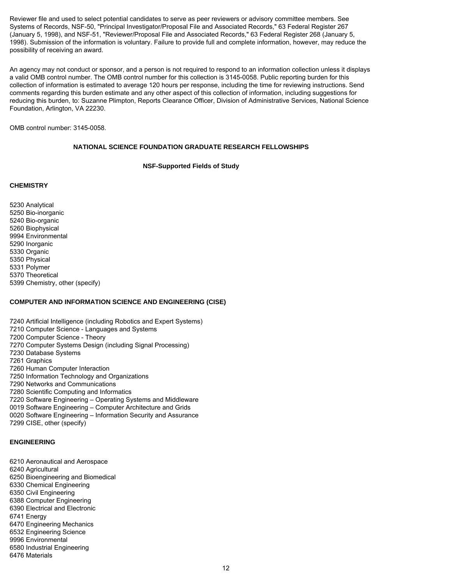Reviewer file and used to select potential candidates to serve as peer reviewers or advisory committee members. See Systems of Records, NSF-50, "Principal Investigator/Proposal File and Associated Records," 63 Federal Register 267 (January 5, 1998), and NSF-51, "Reviewer/Proposal File and Associated Records," 63 Federal Register 268 (January 5, 1998). Submission of the information is voluntary. Failure to provide full and complete information, however, may reduce the possibility of receiving an award.

An agency may not conduct or sponsor, and a person is not required to respond to an information collection unless it displays a valid OMB control number. The OMB control number for this collection is 3145-0058. Public reporting burden for this collection of information is estimated to average 120 hours per response, including the time for reviewing instructions. Send comments regarding this burden estimate and any other aspect of this collection of information, including suggestions for reducing this burden, to: Suzanne Plimpton, Reports Clearance Officer, Division of Administrative Services, National Science Foundation, Arlington, VA 22230.

OMB control number: 3145-0058.

# **NATIONAL SCIENCE FOUNDATION GRADUATE RESEARCH FELLOWSHIPS**

## **NSF-Supported Fields of Study**

## <span id="page-11-0"></span>**CHEMISTRY**

5230 Analytical 5250 Bio-inorganic 5240 Bio-organic 5260 Biophysical 9994 Environmental 5290 Inorganic 5330 Organic 5350 Physical 5331 Polymer 5370 Theoretical 5399 Chemistry, other (specify)

# **COMPUTER AND INFORMATION SCIENCE AND ENGINEERING (CISE)**

7240 Artificial Intelligence (including Robotics and Expert Systems) 7210 Computer Science - Languages and Systems 7200 Computer Science - Theory 7270 Computer Systems Design (including Signal Processing) 7230 Database Systems 7261 Graphics 7260 Human Computer Interaction 7250 Information Technology and Organizations 7290 Networks and Communications 7280 Scientific Computing and Informatics 7220 Software Engineering – Operating Systems and Middleware 0019 Software Engineering – Computer Architecture and Grids 0020 Software Engineering – Information Security and Assurance 7299 CISE, other (specify)

# **ENGINEERING**

6210 Aeronautical and Aerospace 6240 Agricultural 6250 Bioengineering and Biomedical 6330 Chemical Engineering 6350 Civil Engineering 6388 Computer Engineering 6390 Electrical and Electronic 6741 Energy 6470 Engineering Mechanics 6532 Engineering Science 9996 Environmental 6580 Industrial Engineering 6476 Materials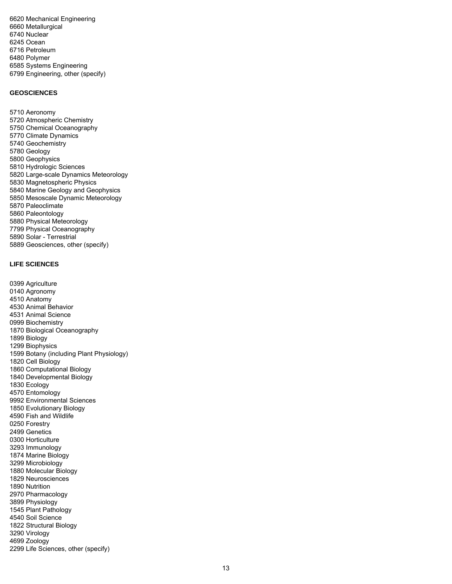6620 Mechanical Engineering 6660 Metallurgical 6740 Nuclear 6245 Ocean 6716 Petroleum 6480 Polymer 6585 Systems Engineering 6799 Engineering, other (specify)

## **GEOSCIENCES**

5710 Aeronomy 5720 Atmospheric Chemistry 5750 Chemical Oceanography 5770 Climate Dynamics 5740 Geochemistry 5780 Geology 5800 Geophysics 5810 Hydrologic Sciences 5820 Large-scale Dynamics Meteorology 5830 Magnetospheric Physics 5840 Marine Geology and Geophysics 5850 Mesoscale Dynamic Meteorology 5870 Paleoclimate 5860 Paleontology 5880 Physical Meteorology 7799 Physical Oceanography 5890 Solar - Terrestrial 5889 Geosciences, other (specify)

# **LIFE SCIENCES**

0399 Agriculture 0140 Agronomy 4510 Anatomy 4530 Animal Behavior 4531 Animal Science 0999 Biochemistry 1870 Biological Oceanography 1899 Biology 1299 Biophysics 1599 Botany (including Plant Physiology) 1820 Cell Biology 1860 Computational Biology 1840 Developmental Biology 1830 Ecology 4570 Entomology 9992 Environmental Sciences 1850 Evolutionary Biology 4590 Fish and Wildlife 0250 Forestry 2499 Genetics 0300 Horticulture 3293 Immunology 1874 Marine Biology 3299 Microbiology 1880 Molecular Biology 1829 Neurosciences 1890 Nutrition 2970 Pharmacology 3899 Physiology 1545 Plant Pathology 4540 Soil Science 1822 Structural Biology 3290 Virology 4699 Zoology 2299 Life Sciences, other (specify)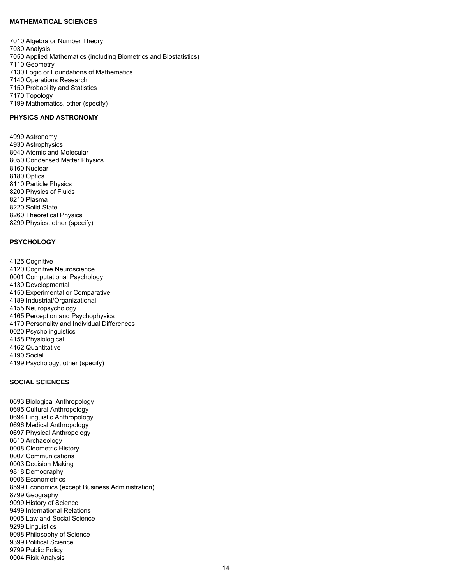## **MATHEMATICAL SCIENCES**

7010 Algebra or Number Theory 7030 Analysis 7050 Applied Mathematics (including Biometrics and Biostatistics) 7110 Geometry 7130 Logic or Foundations of Mathematics 7140 Operations Research 7150 Probability and Statistics 7170 Topology 7199 Mathematics, other (specify)

# **PHYSICS AND ASTRONOMY**

4999 Astronomy 4930 Astrophysics 8040 Atomic and Molecular 8050 Condensed Matter Physics 8160 Nuclear 8180 Optics 8110 Particle Physics 8200 Physics of Fluids 8210 Plasma 8220 Solid State 8260 Theoretical Physics 8299 Physics, other (specify)

# **PSYCHOLOGY**

4125 Cognitive 4120 Cognitive Neuroscience 0001 Computational Psychology 4130 Developmental 4150 Experimental or Comparative 4189 Industrial/Organizational 4155 Neuropsychology 4165 Perception and Psychophysics 4170 Personality and Individual Differences 0020 Psycholinguistics 4158 Physiological 4162 Quantitative 4190 Social 4199 Psychology, other (specify)

# **SOCIAL SCIENCES**

0693 Biological Anthropology 0695 Cultural Anthropology 0694 Linguistic Anthropology 0696 Medical Anthropology 0697 Physical Anthropology 0610 Archaeology 0008 Cleometric History 0007 Communications 0003 Decision Making 9818 Demography 0006 Econometrics 8599 Economics (except Business Administration) 8799 Geography 9099 History of Science 9499 International Relations 0005 Law and Social Science 9299 Linguistics 9098 Philosophy of Science 9399 Political Science 9799 Public Policy 0004 Risk Analysis